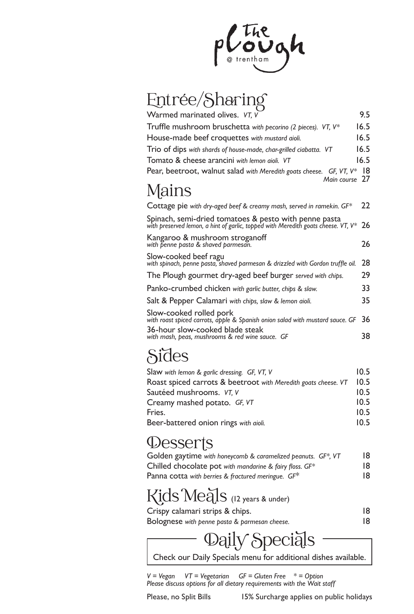

# Entrée/Sharing

| Warmed marinated olives. VT, V                                                                                                             | 9.5  |
|--------------------------------------------------------------------------------------------------------------------------------------------|------|
| Truffle mushroom bruschetta with pecorino (2 pieces). VT, $V^*$                                                                            | 16.5 |
| House-made beef croquettes with mustard aioli.                                                                                             | 16.5 |
| Trio of dips with shards of house-made, char-grilled ciabatta. VT                                                                          | 16.5 |
| Tomato & cheese arancini with lemon gioli. VT                                                                                              | 16.5 |
| Pear, beetroot, walnut salad with Meredith goats cheese. $GF, VT, V^*$<br>Main course 27                                                   | - 18 |
| Mains                                                                                                                                      |      |
| Cottage pie with dry-aged beef & creamy mash, served in ramekin. $GF^*$                                                                    | 22   |
| Spinach, semi-dried tomatoes & pesto with penne pasta<br>with preserved lemon, a hint of garlic, topped with Meredith goats cheese. VT, V* | 26   |
| Kangaroo & mushroom stroganoff<br>with penne pasta & shaved parmesan.                                                                      | 26   |
| Slow-cooked beef ragu<br>with spinach, penne pasta, shaved parmesan & drizzled with Gordon truffle oil.                                    | 28   |
| The Plough gourmet dry-aged beef burger served with chips.                                                                                 | 29   |
| Panko-crumbed chicken with garlic butter, chips & slaw.                                                                                    | 33   |
| Salt & Pepper Calamari with chips, slaw & lemon aioli.                                                                                     | 35   |
| Slow-cooked rolled pork<br>with roast spiced carrots, apple & Spanish onion salad with mustard sauce. GF                                   | 36   |
| 36-hour slow-cooked blade steak<br>with mash, peas, mushrooms & red wine sauce. GF                                                         | 38   |

#### **Sides**

| Slaw with lemon & garlic dressing. GF, VT, V                   | 10.5 |
|----------------------------------------------------------------|------|
| Roast spiced carrots & beetroot with Meredith goats cheese. VT | 10.5 |
| Sautéed mushrooms. VT, V                                       | 10.5 |
| Creamy mashed potato. GF, VT                                   | 10.5 |
| Fries.                                                         | 10.5 |
| Beer-battered onion rings with aioli.                          | 10.5 |

#### *<u>Desserts</u>*

| Golden gaytime with honeycomb & caramelized peanuts. GF*, VT | 18 |
|--------------------------------------------------------------|----|
| Chilled chocolate pot with mandarine & fairy floss. $GF^*$   | 18 |
| Panna cotta with berries & fractured meringue. $GF^*$        | 18 |

# Kids Meals (12 years & under)

| Crispy calamari strips & chips. |  |
|---------------------------------|--|
|                                 |  |

```
Bolognese with penne pasta & parmesan cheese. 18
```
## aily Speciāls

Check our Daily Specials menu for additional dishes available.

*V = Vegan VT = Vegetarian GF = Gluten Free \* = Option Please discuss options for all dietary requirements with the Wait staff*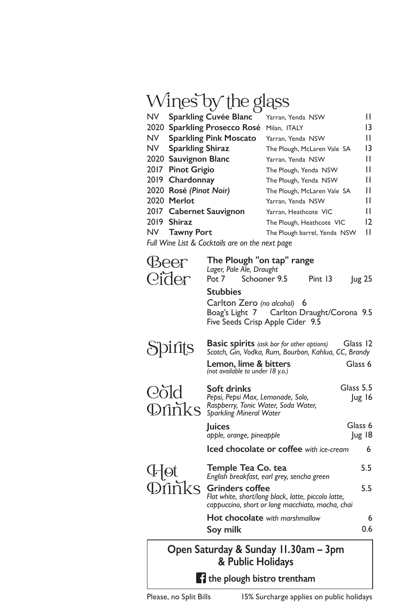# Wines by the glass

| <b>NV</b>                                       | <b>Sparkling Cuvée Blanc</b>  | Yarran, Yenda NSW            | Ш  |
|-------------------------------------------------|-------------------------------|------------------------------|----|
|                                                 | 2020 Sparkling Prosecco Rosé  | Milan, ITALY                 | 13 |
| NV.                                             | <b>Sparkling Pink Moscato</b> | Yarran, Yenda NSW            | н  |
| NV I                                            | <b>Sparkling Shiraz</b>       | The Plough, McLaren Vale SA  | 13 |
|                                                 | 2020 Sauvignon Blanc          | Yarran, Yenda NSW            | Ш  |
|                                                 | 2017 Pinot Grigio             | The Plough, Yenda NSW        | н  |
|                                                 | 2019 Chardonnay               | The Plough, Yenda NSW        | н  |
|                                                 | 2020 Rosé (Pinot Noir)        | The Plough, McLaren Vale SA  | н  |
|                                                 | 2020 Merlot                   | Yarran, Yenda NSW            | н  |
|                                                 | 2017 Cabernet Sauvignon       | Yarran, Heathcote VIC        | н  |
|                                                 | 2019 Shiraz                   | The Plough, Heathcote VIC    | 12 |
|                                                 | NV Tawny Port                 | The Plough barrel, Yenda NSW | н  |
| Full Wine List & Cocktails are on the next hage |                               |                              |    |

*Full Wine List & Cocktails are on the next page*

| Open Saturday & Sunday 11.30am – 3pm<br>& Public Holidays |                                                                                                                                          |                     |  |
|-----------------------------------------------------------|------------------------------------------------------------------------------------------------------------------------------------------|---------------------|--|
|                                                           | Soy milk                                                                                                                                 | 0.6                 |  |
|                                                           | Hot chocolate with marshmallow                                                                                                           | 6                   |  |
| <b>D</b> inks                                             | 5.5<br><b>Grinders coffee</b><br>Flat white, short/long black, latte, piccolo latte,<br>cappuccino, short or long macchiato, mocha, chai |                     |  |
| F[ot                                                      | Temple Tea Co. tea<br>English breakfast, earl grey, sencha green                                                                         | 5.5                 |  |
|                                                           | Iced chocolate or coffee with ice-cream<br>6                                                                                             |                     |  |
|                                                           | <b>Juices</b><br>apple, orange, pineapple                                                                                                | Glass 6<br>Jug 18   |  |
| Cold                                                      | Soft drinks<br>Pepsi, Pepsi Max, Lemonade, Solo,<br>Raspberry, Tonic Water, Soda Water,<br><b>Dfinks</b> Raspberry, Ionic Water, S       | Glass 5.5<br>Jug 16 |  |
|                                                           | Scotch, Gin, Vodka, Rum, Bourbon, Kahlua, CC, Brandy<br>Lemon, lime & bitters<br>(not available to under 18 y.o.)                        | Glass 6             |  |
| Spirits                                                   | Five Seeds Crisp Apple Cider 9.5<br><b>Basic spirits</b> (ask bar for other options)                                                     | Glass 12            |  |
|                                                           | <b>Stubbies</b><br>Carlton Zero (no alcohol) 6<br>Boag's Light 7 Carlton Draught/Corona 9.5                                              |                     |  |
| Beer<br>Cider                                             | The Plough "on tap" range<br>Lager, Pale Ale, Draught<br>Pot 7 Schooner 9.5<br>Pint 13                                                   | <b>Jug 25</b>       |  |

 $\blacksquare$  the plough bistro trentham

Please, no Split Bills 15% Surcharge applies on public holidays